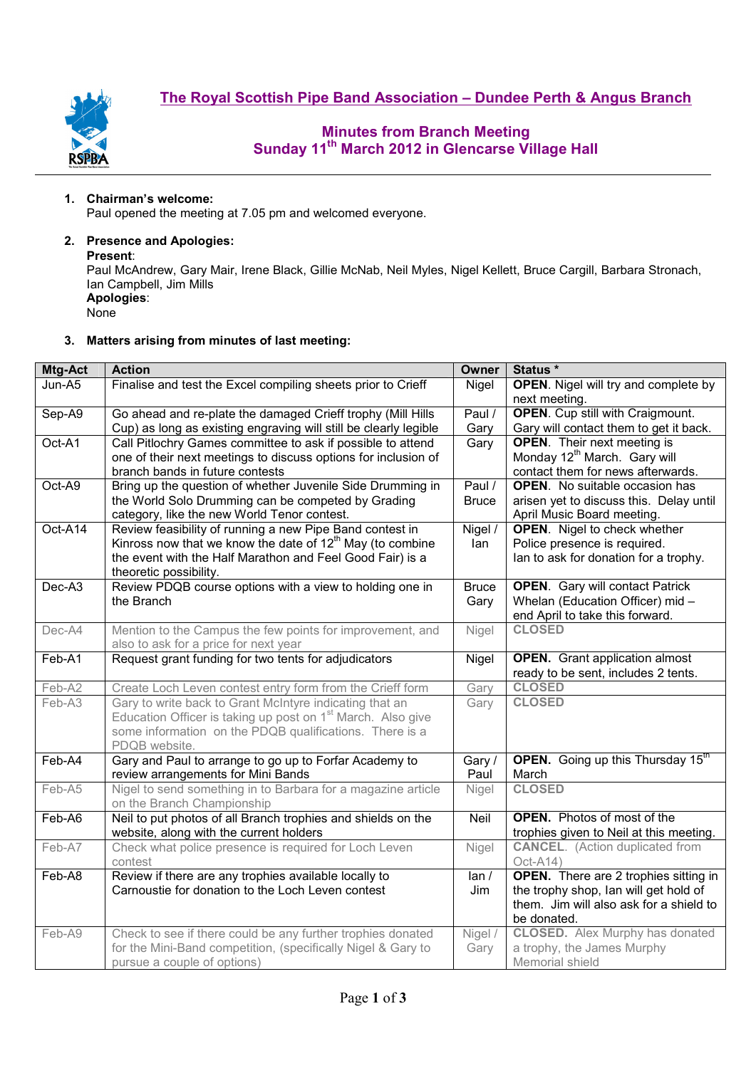

# **Minutes from Branch Meeting Sunday 11th March 2012 in Glencarse Village Hall**

## **1. Chairman's welcome:**

Paul opened the meeting at 7.05 pm and welcomed everyone.

## **2. Presence and Apologies:**

#### **Present**:

Paul McAndrew, Gary Mair, Irene Black, Gillie McNab, Neil Myles, Nigel Kellett, Bruce Cargill, Barbara Stronach, Ian Campbell, Jim Mills **Apologies**:

None

## **3. Matters arising from minutes of last meeting:**

| Mtg-Act | <b>Action</b>                                                           | Owner        | Status *                                                            |  |
|---------|-------------------------------------------------------------------------|--------------|---------------------------------------------------------------------|--|
| Jun-A5  | Finalise and test the Excel compiling sheets prior to Crieff            | Nigel        | <b>OPEN.</b> Nigel will try and complete by                         |  |
|         |                                                                         |              | next meeting.                                                       |  |
| Sep-A9  | Go ahead and re-plate the damaged Crieff trophy (Mill Hills             | Paul /       | <b>OPEN.</b> Cup still with Craigmount.                             |  |
|         | Cup) as long as existing engraving will still be clearly legible        | Gary         | Gary will contact them to get it back.                              |  |
| Oct-A1  | Call Pitlochry Games committee to ask if possible to attend             | Gary         | <b>OPEN.</b> Their next meeting is                                  |  |
|         | one of their next meetings to discuss options for inclusion of          |              | Monday 12 <sup>th</sup> March. Gary will                            |  |
|         | branch bands in future contests                                         |              | contact them for news afterwards.                                   |  |
| Oct-A9  | Bring up the question of whether Juvenile Side Drumming in              | Paul /       | <b>OPEN.</b> No suitable occasion has                               |  |
|         | the World Solo Drumming can be competed by Grading                      | <b>Bruce</b> | arisen yet to discuss this. Delay until                             |  |
|         | category, like the new World Tenor contest.                             |              | April Music Board meeting.                                          |  |
| Oct-A14 | Review feasibility of running a new Pipe Band contest in                | Nigel /      | <b>OPEN.</b> Nigel to check whether                                 |  |
|         | Kinross now that we know the date of $12th$ May (to combine             | lan          | Police presence is required.                                        |  |
|         | the event with the Half Marathon and Feel Good Fair) is a               |              | lan to ask for donation for a trophy.                               |  |
| Dec-A3  | theoretic possibility.                                                  |              |                                                                     |  |
|         | Review PDQB course options with a view to holding one in<br>the Branch  | <b>Bruce</b> | <b>OPEN.</b> Gary will contact Patrick                              |  |
|         |                                                                         | Gary         | Whelan (Education Officer) mid -<br>end April to take this forward. |  |
| Dec-A4  | Mention to the Campus the few points for improvement, and               | Nigel        | <b>CLOSED</b>                                                       |  |
|         | also to ask for a price for next year                                   |              |                                                                     |  |
| Feb-A1  | Request grant funding for two tents for adjudicators                    | Nigel        | <b>OPEN.</b> Grant application almost                               |  |
|         |                                                                         |              | ready to be sent, includes 2 tents.                                 |  |
| Feb-A2  | Create Loch Leven contest entry form from the Crieff form               | Gary         | <b>CLOSED</b>                                                       |  |
| Feb-A3  | Gary to write back to Grant McIntyre indicating that an                 | Gary         | <b>CLOSED</b>                                                       |  |
|         | Education Officer is taking up post on 1 <sup>st</sup> March. Also give |              |                                                                     |  |
|         | some information on the PDQB qualifications. There is a                 |              |                                                                     |  |
|         | PDQB website.                                                           |              |                                                                     |  |
| Feb-A4  | Gary and Paul to arrange to go up to Forfar Academy to                  | Gary /       | <b>OPEN.</b> Going up this Thursday $15^{\text{m}}$                 |  |
|         | review arrangements for Mini Bands                                      | Paul         | March                                                               |  |
| Feb-A5  | Nigel to send something in to Barbara for a magazine article            | Nigel        | <b>CLOSED</b>                                                       |  |
|         | on the Branch Championship                                              |              |                                                                     |  |
| Feb-A6  | Neil to put photos of all Branch trophies and shields on the            | Neil         | <b>OPEN.</b> Photos of most of the                                  |  |
|         | website, along with the current holders                                 |              | trophies given to Neil at this meeting.                             |  |
| Feb-A7  | Check what police presence is required for Loch Leven                   | Nigel        | <b>CANCEL.</b> (Action duplicated from                              |  |
|         | contest                                                                 |              | Oct-A14)                                                            |  |
| Feb-A8  | Review if there are any trophies available locally to                   | lan/         | <b>OPEN.</b> There are 2 trophies sitting in                        |  |
|         | Carnoustie for donation to the Loch Leven contest                       | Jim          | the trophy shop, Ian will get hold of                               |  |
|         |                                                                         |              | them. Jim will also ask for a shield to                             |  |
|         |                                                                         |              | be donated.                                                         |  |
| Feb-A9  | Check to see if there could be any further trophies donated             | Nigel /      | <b>CLOSED.</b> Alex Murphy has donated                              |  |
|         | for the Mini-Band competition, (specifically Nigel & Gary to            | Gary         | a trophy, the James Murphy                                          |  |
|         | pursue a couple of options)                                             |              | Memorial shield                                                     |  |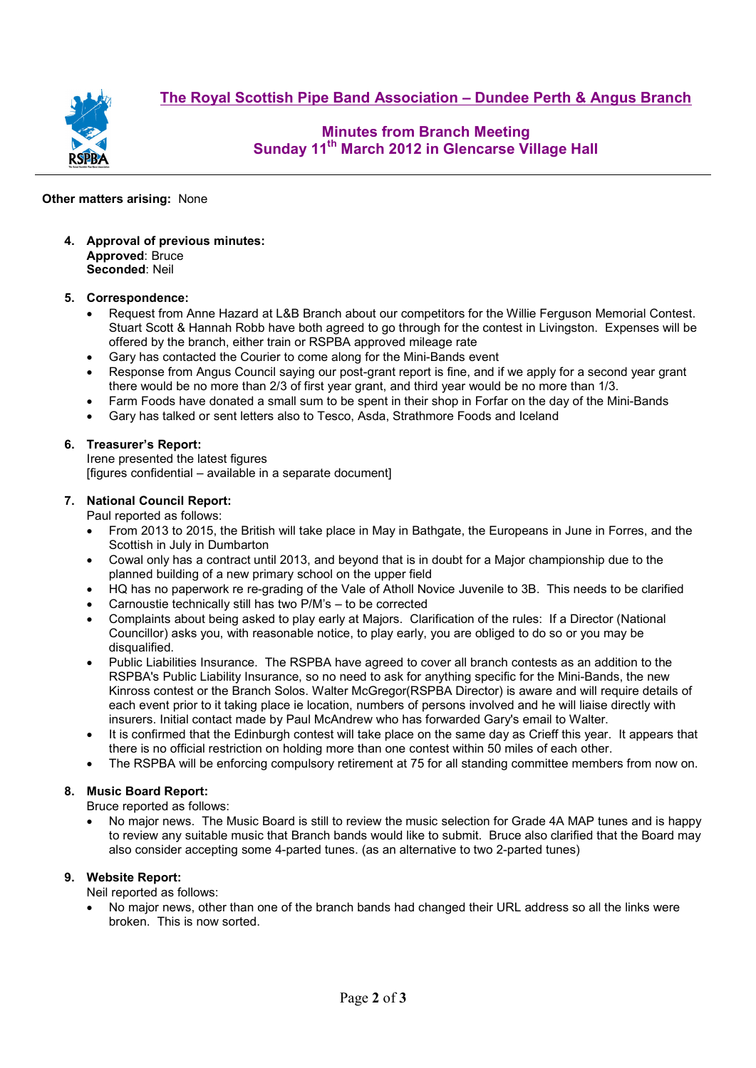**The Royal Scottish Pipe Band Association – Dundee Perth & Angus Branch**



**Minutes from Branch Meeting Sunday 11th March 2012 in Glencarse Village Hall** 

## **Other matters arising:** None

**4. Approval of previous minutes: Approved**: Bruce **Seconded**: Neil

## **5. Correspondence:**

- Request from Anne Hazard at L&B Branch about our competitors for the Willie Ferguson Memorial Contest. Stuart Scott & Hannah Robb have both agreed to go through for the contest in Livingston. Expenses will be offered by the branch, either train or RSPBA approved mileage rate
- Gary has contacted the Courier to come along for the Mini-Bands event
- Response from Angus Council saying our post-grant report is fine, and if we apply for a second year grant there would be no more than 2/3 of first year grant, and third year would be no more than 1/3.
- Farm Foods have donated a small sum to be spent in their shop in Forfar on the day of the Mini-Bands
- Gary has talked or sent letters also to Tesco, Asda, Strathmore Foods and Iceland

## **6. Treasurer's Report:**

Irene presented the latest figures [figures confidential – available in a separate document]

#### **7. National Council Report:**

Paul reported as follows:

- From 2013 to 2015, the British will take place in May in Bathgate, the Europeans in June in Forres, and the Scottish in July in Dumbarton
- Cowal only has a contract until 2013, and beyond that is in doubt for a Major championship due to the planned building of a new primary school on the upper field
- HQ has no paperwork re re-grading of the Vale of Atholl Novice Juvenile to 3B. This needs to be clarified
- Carnoustie technically still has two P/M's to be corrected
- Complaints about being asked to play early at Majors. Clarification of the rules: If a Director (National Councillor) asks you, with reasonable notice, to play early, you are obliged to do so or you may be disqualified.
- Public Liabilities Insurance. The RSPBA have agreed to cover all branch contests as an addition to the RSPBA's Public Liability Insurance, so no need to ask for anything specific for the Mini-Bands, the new Kinross contest or the Branch Solos. Walter McGregor(RSPBA Director) is aware and will require details of each event prior to it taking place ie location, numbers of persons involved and he will liaise directly with insurers. Initial contact made by Paul McAndrew who has forwarded Gary's email to Walter.
- It is confirmed that the Edinburgh contest will take place on the same day as Crieff this year. It appears that there is no official restriction on holding more than one contest within 50 miles of each other.
- The RSPBA will be enforcing compulsory retirement at 75 for all standing committee members from now on.

## **8. Music Board Report:**

Bruce reported as follows:

• No major news. The Music Board is still to review the music selection for Grade 4A MAP tunes and is happy to review any suitable music that Branch bands would like to submit. Bruce also clarified that the Board may also consider accepting some 4-parted tunes. (as an alternative to two 2-parted tunes)

## **9. Website Report:**

Neil reported as follows:

• No major news, other than one of the branch bands had changed their URL address so all the links were broken. This is now sorted.